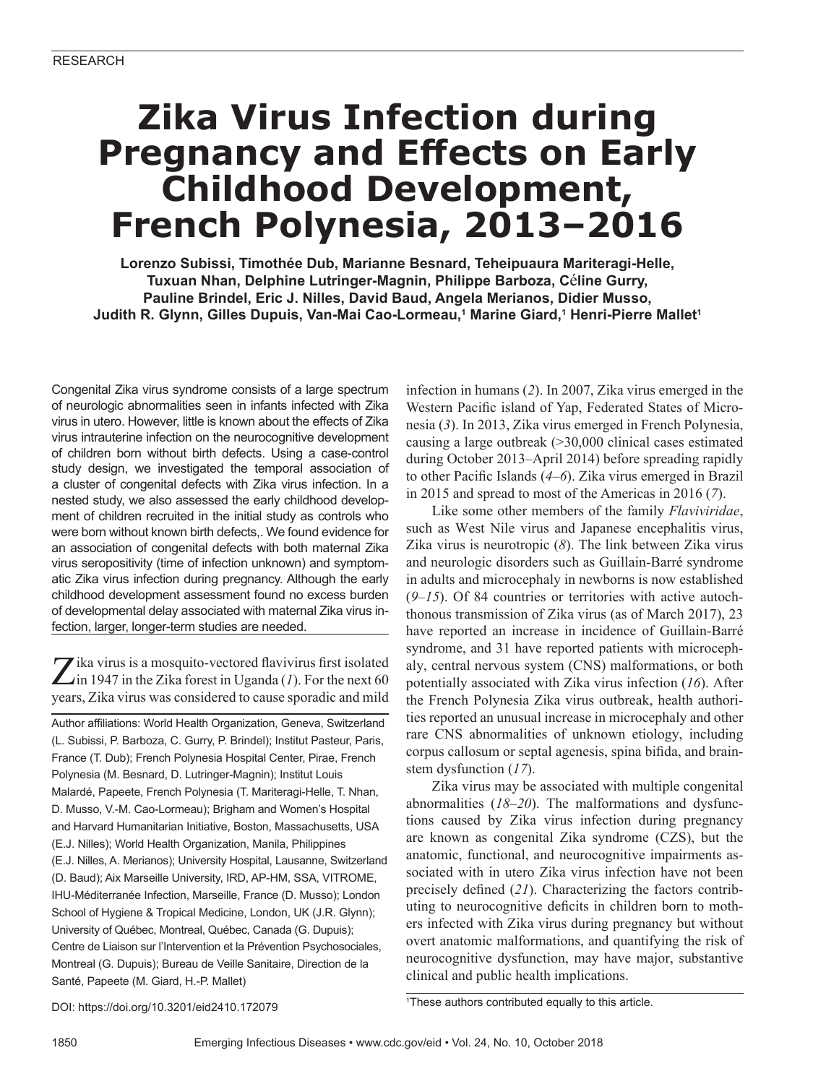# **Zika Virus Infection during Pregnancy and Effects on Early Childhood Development, French Polynesia, 2013–2016**

**Lorenzo Subissi, Timothée Dub, Marianne Besnard, Teheipuaura Mariteragi-Helle, Tuxuan Nhan, Delphine Lutringer-Magnin, Philippe Barboza, C**é**line Gurry, Pauline Brindel, Eric J. Nilles, David Baud, Angela Merianos, Didier Musso, Judith R. Glynn, Gilles Dupuis, Van-Mai Cao-Lormeau,1 Marine Giard,1 Henri-Pierre Mallet1**

Congenital Zika virus syndrome consists of a large spectrum of neurologic abnormalities seen in infants infected with Zika virus in utero. However, little is known about the effects of Zika virus intrauterine infection on the neurocognitive development of children born without birth defects. Using a case-control study design, we investigated the temporal association of a cluster of congenital defects with Zika virus infection. In a nested study, we also assessed the early childhood development of children recruited in the initial study as controls who were born without known birth defects,. We found evidence for an association of congenital defects with both maternal Zika virus seropositivity (time of infection unknown) and symptomatic Zika virus infection during pregnancy. Although the early childhood development assessment found no excess burden of developmental delay associated with maternal Zika virus infection, larger, longer-term studies are needed.

**Z** ika virus is a mosquito-vectored flavivirus first isolated in 1947 in the Zika forest in Uganda (*1*). For the next 60 years, Zika virus was considered to cause sporadic and mild

Author affiliations: World Health Organization, Geneva, Switzerland (L. Subissi, P. Barboza, C. Gurry, P. Brindel); Institut Pasteur, Paris, France (T. Dub); French Polynesia Hospital Center, Pirae, French Polynesia (M. Besnard, D. Lutringer-Magnin); Institut Louis Malardé, Papeete, French Polynesia (T. Mariteragi-Helle, T. Nhan, D. Musso, V.-M. Cao-Lormeau); Brigham and Women's Hospital and Harvard Humanitarian Initiative, Boston, Massachusetts, USA (E.J. Nilles); World Health Organization, Manila, Philippines (E.J. Nilles, A. Merianos); University Hospital, Lausanne, Switzerland (D. Baud); Aix Marseille University, IRD, AP-HM, SSA, VITROME, IHU-Méditerranée Infection, Marseille, France (D. Musso); London School of Hygiene & Tropical Medicine, London, UK (J.R. Glynn); University of Québec, Montreal, Québec, Canada (G. Dupuis); Centre de Liaison sur l'Intervention et la Prévention Psychosociales, Montreal (G. Dupuis); Bureau de Veille Sanitaire, Direction de la Santé, Papeete (M. Giard, H.-P. Mallet)

infection in humans (*2*). In 2007, Zika virus emerged in the Western Pacific island of Yap, Federated States of Micronesia (*3*). In 2013, Zika virus emerged in French Polynesia, causing a large outbreak (>30,000 clinical cases estimated during October 2013–April 2014) before spreading rapidly to other Pacific Islands (*4*–*6*). Zika virus emerged in Brazil in 2015 and spread to most of the Americas in 2016 (*7*).

Like some other members of the family *Flaviviridae*, such as West Nile virus and Japanese encephalitis virus, Zika virus is neurotropic (*8*). The link between Zika virus and neurologic disorders such as Guillain-Barré syndrome in adults and microcephaly in newborns is now established (*9*–*15*). Of 84 countries or territories with active autochthonous transmission of Zika virus (as of March 2017), 23 have reported an increase in incidence of Guillain-Barré syndrome, and 31 have reported patients with microcephaly, central nervous system (CNS) malformations, or both potentially associated with Zika virus infection (*16*). After the French Polynesia Zika virus outbreak, health authorities reported an unusual increase in microcephaly and other rare CNS abnormalities of unknown etiology, including corpus callosum or septal agenesis, spina bifida, and brainstem dysfunction (*17*).

Zika virus may be associated with multiple congenital abnormalities (*18*–*20*). The malformations and dysfunctions caused by Zika virus infection during pregnancy are known as congenital Zika syndrome (CZS), but the anatomic, functional, and neurocognitive impairments associated with in utero Zika virus infection have not been precisely defined (*21*). Characterizing the factors contributing to neurocognitive deficits in children born to mothers infected with Zika virus during pregnancy but without overt anatomic malformations, and quantifying the risk of neurocognitive dysfunction, may have major, substantive clinical and public health implications.

DOI: https://doi.org/10.3201/eid2410.172079 <sup>1</sup>

<sup>1</sup>These authors contributed equally to this article.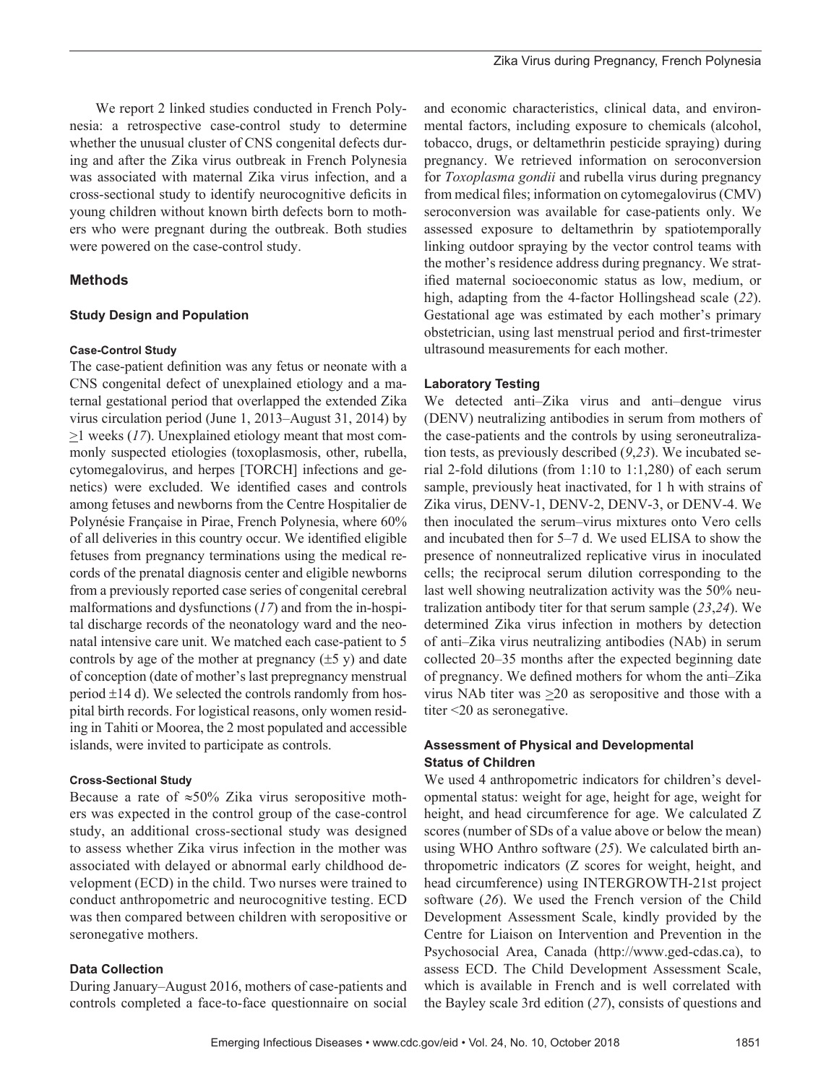We report 2 linked studies conducted in French Polynesia: a retrospective case-control study to determine whether the unusual cluster of CNS congenital defects during and after the Zika virus outbreak in French Polynesia was associated with maternal Zika virus infection, and a cross-sectional study to identify neurocognitive deficits in young children without known birth defects born to mothers who were pregnant during the outbreak. Both studies were powered on the case-control study.

# **Methods**

## **Study Design and Population**

## **Case-Control Study**

The case-patient definition was any fetus or neonate with a CNS congenital defect of unexplained etiology and a maternal gestational period that overlapped the extended Zika virus circulation period (June 1, 2013–August 31, 2014) by >1 weeks (*17*). Unexplained etiology meant that most commonly suspected etiologies (toxoplasmosis, other, rubella, cytomegalovirus, and herpes [TORCH] infections and genetics) were excluded. We identified cases and controls among fetuses and newborns from the Centre Hospitalier de Polynésie Française in Pirae, French Polynesia, where 60% of all deliveries in this country occur. We identified eligible fetuses from pregnancy terminations using the medical records of the prenatal diagnosis center and eligible newborns from a previously reported case series of congenital cerebral malformations and dysfunctions (*17*) and from the in-hospital discharge records of the neonatology ward and the neonatal intensive care unit. We matched each case-patient to 5 controls by age of the mother at pregnancy  $(\pm 5 \text{ y})$  and date of conception (date of mother's last prepregnancy menstrual period  $\pm$ 14 d). We selected the controls randomly from hospital birth records. For logistical reasons, only women residing in Tahiti or Moorea, the 2 most populated and accessible islands, were invited to participate as controls.

## **Cross-Sectional Study**

Because a rate of  $\approx 50\%$  Zika virus seropositive mothers was expected in the control group of the case-control study, an additional cross-sectional study was designed to assess whether Zika virus infection in the mother was associated with delayed or abnormal early childhood development (ECD) in the child. Two nurses were trained to conduct anthropometric and neurocognitive testing. ECD was then compared between children with seropositive or seronegative mothers.

## **Data Collection**

During January–August 2016, mothers of case-patients and controls completed a face-to-face questionnaire on social

and economic characteristics, clinical data, and environmental factors, including exposure to chemicals (alcohol, tobacco, drugs, or deltamethrin pesticide spraying) during pregnancy. We retrieved information on seroconversion for *Toxoplasma gondii* and rubella virus during pregnancy from medical files; information on cytomegalovirus (CMV) seroconversion was available for case-patients only. We assessed exposure to deltamethrin by spatiotemporally linking outdoor spraying by the vector control teams with the mother's residence address during pregnancy. We stratified maternal socioeconomic status as low, medium, or high, adapting from the 4-factor Hollingshead scale (*22*). Gestational age was estimated by each mother's primary obstetrician, using last menstrual period and first-trimester ultrasound measurements for each mother.

## **Laboratory Testing**

We detected anti–Zika virus and anti–dengue virus (DENV) neutralizing antibodies in serum from mothers of the case-patients and the controls by using seroneutralization tests, as previously described (*9*,*23*). We incubated serial 2-fold dilutions (from 1:10 to 1:1,280) of each serum sample, previously heat inactivated, for 1 h with strains of Zika virus, DENV-1, DENV-2, DENV-3, or DENV-4. We then inoculated the serum–virus mixtures onto Vero cells and incubated then for 5–7 d. We used ELISA to show the presence of nonneutralized replicative virus in inoculated cells; the reciprocal serum dilution corresponding to the last well showing neutralization activity was the 50% neutralization antibody titer for that serum sample (*23*,*24*). We determined Zika virus infection in mothers by detection of anti–Zika virus neutralizing antibodies (NAb) in serum collected 20–35 months after the expected beginning date of pregnancy. We defined mothers for whom the anti–Zika virus NAb titer was  $\geq 20$  as seropositive and those with a titer <20 as seronegative.

# **Assessment of Physical and Developmental Status of Children**

We used 4 anthropometric indicators for children's developmental status: weight for age, height for age, weight for height, and head circumference for age. We calculated Z scores (number of SDs of a value above or below the mean) using WHO Anthro software (*25*). We calculated birth anthropometric indicators (Z scores for weight, height, and head circumference) using INTERGROWTH-21st project software (*26*). We used the French version of the Child Development Assessment Scale, kindly provided by the Centre for Liaison on Intervention and Prevention in the Psychosocial Area, Canada (http://www.ged-cdas.ca), to assess ECD. The Child Development Assessment Scale, which is available in French and is well correlated with the Bayley scale 3rd edition (*27*), consists of questions and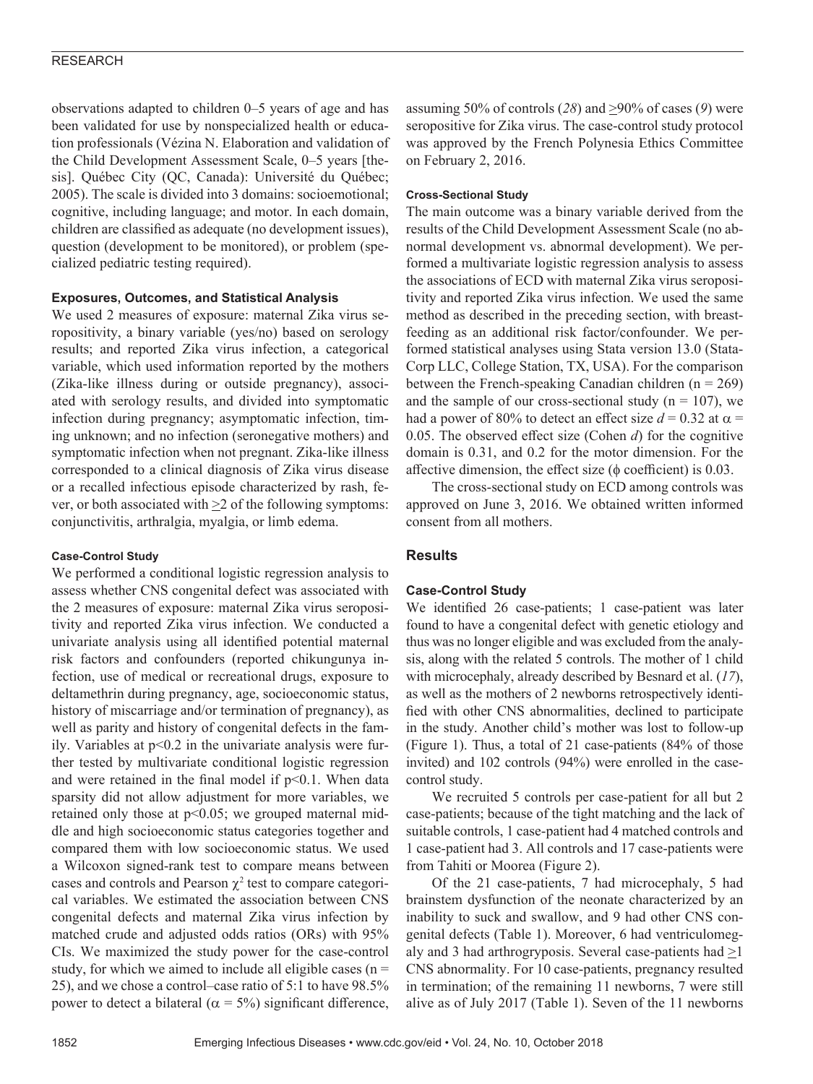observations adapted to children 0–5 years of age and has been validated for use by nonspecialized health or education professionals (Vézina N. Elaboration and validation of the Child Development Assessment Scale, 0–5 years [thesis]. Québec City (QC, Canada): Université du Québec; 2005). The scale is divided into 3 domains: socioemotional; cognitive, including language; and motor. In each domain, children are classified as adequate (no development issues), question (development to be monitored), or problem (specialized pediatric testing required).

## **Exposures, Outcomes, and Statistical Analysis**

We used 2 measures of exposure: maternal Zika virus seropositivity, a binary variable (yes/no) based on serology results; and reported Zika virus infection, a categorical variable, which used information reported by the mothers (Zika-like illness during or outside pregnancy), associated with serology results, and divided into symptomatic infection during pregnancy; asymptomatic infection, timing unknown; and no infection (seronegative mothers) and symptomatic infection when not pregnant. Zika-like illness corresponded to a clinical diagnosis of Zika virus disease or a recalled infectious episode characterized by rash, fever, or both associated with  $\geq 2$  of the following symptoms: conjunctivitis, arthralgia, myalgia, or limb edema.

## **Case-Control Study**

We performed a conditional logistic regression analysis to assess whether CNS congenital defect was associated with the 2 measures of exposure: maternal Zika virus seropositivity and reported Zika virus infection. We conducted a univariate analysis using all identified potential maternal risk factors and confounders (reported chikungunya infection, use of medical or recreational drugs, exposure to deltamethrin during pregnancy, age, socioeconomic status, history of miscarriage and/or termination of pregnancy), as well as parity and history of congenital defects in the family. Variables at p<0.2 in the univariate analysis were further tested by multivariate conditional logistic regression and were retained in the final model if  $p<0.1$ . When data sparsity did not allow adjustment for more variables, we retained only those at p<0.05; we grouped maternal middle and high socioeconomic status categories together and compared them with low socioeconomic status. We used a Wilcoxon signed-rank test to compare means between cases and controls and Pearson  $\chi^2$  test to compare categorical variables. We estimated the association between CNS congenital defects and maternal Zika virus infection by matched crude and adjusted odds ratios (ORs) with 95% CIs. We maximized the study power for the case-control study, for which we aimed to include all eligible cases ( $n =$ 25), and we chose a control–case ratio of 5:1 to have 98.5% power to detect a bilateral ( $\alpha = 5\%$ ) significant difference,

assuming 50% of controls  $(28)$  and  $\geq$ 90% of cases  $(9)$  were seropositive for Zika virus. The case-control study protocol was approved by the French Polynesia Ethics Committee on February 2, 2016.

## **Cross-Sectional Study**

The main outcome was a binary variable derived from the results of the Child Development Assessment Scale (no abnormal development vs. abnormal development). We performed a multivariate logistic regression analysis to assess the associations of ECD with maternal Zika virus seropositivity and reported Zika virus infection. We used the same method as described in the preceding section, with breastfeeding as an additional risk factor/confounder. We performed statistical analyses using Stata version 13.0 (Stata-Corp LLC, College Station, TX, USA). For the comparison between the French-speaking Canadian children ( $n = 269$ ) and the sample of our cross-sectional study ( $n = 107$ ), we had a power of 80% to detect an effect size  $d = 0.32$  at  $\alpha =$ 0.05. The observed effect size (Cohen *d*) for the cognitive domain is 0.31, and 0.2 for the motor dimension. For the affective dimension, the effect size (φ coefficient) is 0.03.

The cross-sectional study on ECD among controls was approved on June 3, 2016. We obtained written informed consent from all mothers.

# **Results**

# **Case-Control Study**

We identified 26 case-patients; 1 case-patient was later found to have a congenital defect with genetic etiology and thus was no longer eligible and was excluded from the analysis, along with the related 5 controls. The mother of 1 child with microcephaly, already described by Besnard et al. (*17*), as well as the mothers of 2 newborns retrospectively identified with other CNS abnormalities, declined to participate in the study. Another child's mother was lost to follow-up (Figure 1). Thus, a total of 21 case-patients (84% of those invited) and 102 controls (94%) were enrolled in the casecontrol study.

We recruited 5 controls per case-patient for all but 2 case-patients; because of the tight matching and the lack of suitable controls, 1 case-patient had 4 matched controls and 1 case-patient had 3. All controls and 17 case-patients were from Tahiti or Moorea (Figure 2).

Of the 21 case-patients, 7 had microcephaly, 5 had brainstem dysfunction of the neonate characterized by an inability to suck and swallow, and 9 had other CNS congenital defects (Table 1). Moreover, 6 had ventriculomegaly and 3 had arthrogryposis. Several case-patients had  $\geq$ 1 CNS abnormality. For 10 case-patients, pregnancy resulted in termination; of the remaining 11 newborns, 7 were still alive as of July 2017 (Table 1). Seven of the 11 newborns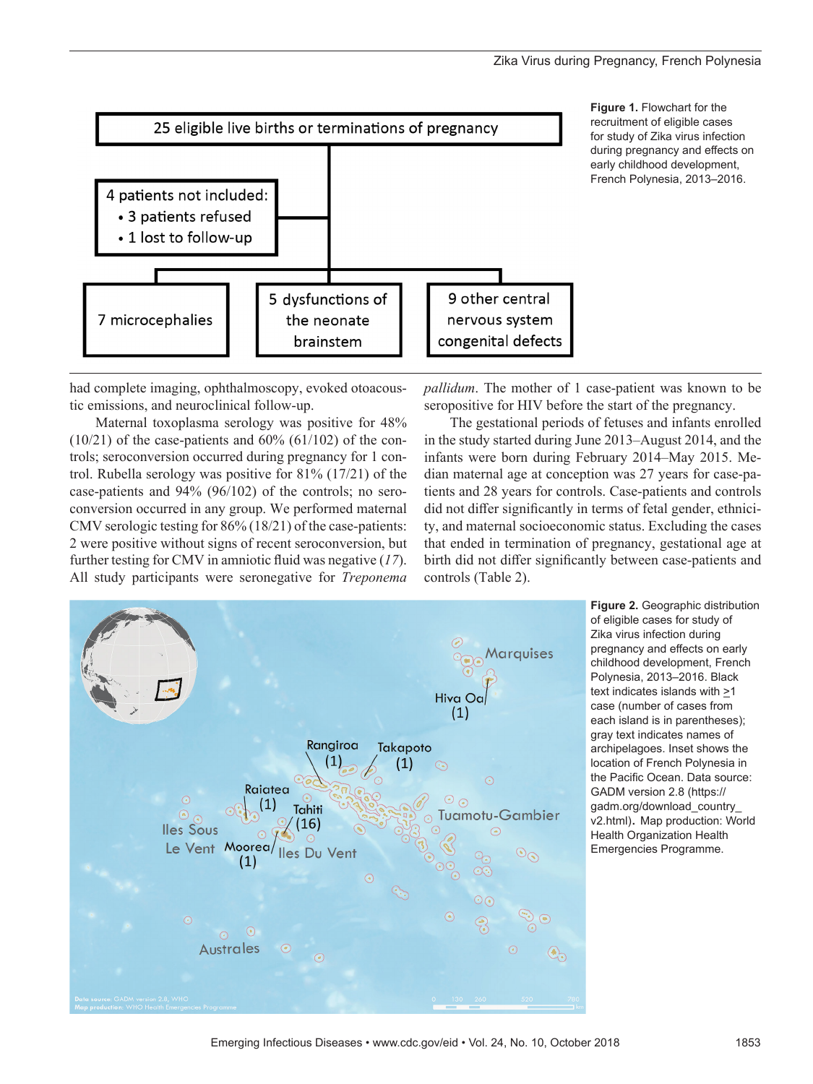## Zika Virus during Pregnancy, French Polynesia



had complete imaging, ophthalmoscopy, evoked otoacoustic emissions, and neuroclinical follow-up.

Maternal toxoplasma serology was positive for 48%  $(10/21)$  of the case-patients and  $60\%$   $(61/102)$  of the controls; seroconversion occurred during pregnancy for 1 control. Rubella serology was positive for 81% (17/21) of the case-patients and 94% (96/102) of the controls; no seroconversion occurred in any group. We performed maternal CMV serologic testing for 86% (18/21) of the case-patients: 2 were positive without signs of recent seroconversion, but further testing for CMV in amniotic fluid was negative (*17*). All study participants were seronegative for *Treponema*

*pallidum*. The mother of 1 case-patient was known to be seropositive for HIV before the start of the pregnancy.

The gestational periods of fetuses and infants enrolled in the study started during June 2013–August 2014, and the infants were born during February 2014–May 2015. Median maternal age at conception was 27 years for case-patients and 28 years for controls. Case-patients and controls did not differ significantly in terms of fetal gender, ethnicity, and maternal socioeconomic status. Excluding the cases that ended in termination of pregnancy, gestational age at birth did not differ significantly between case-patients and controls (Table 2).



**Figure 2.** Geographic distribution of eligible cases for study of Zika virus infection during pregnancy and effects on early childhood development, French Polynesia, 2013–2016. Black text indicates islands with  $\geq$ 1 case (number of cases from each island is in parentheses); gray text indicates names of archipelagoes. Inset shows the location of French Polynesia in the Pacific Ocean. Data source: GADM version 2.8 (https:// gadm.org/download\_country\_ v2.html). Map production: World Health Organization Health Emergencies Programme.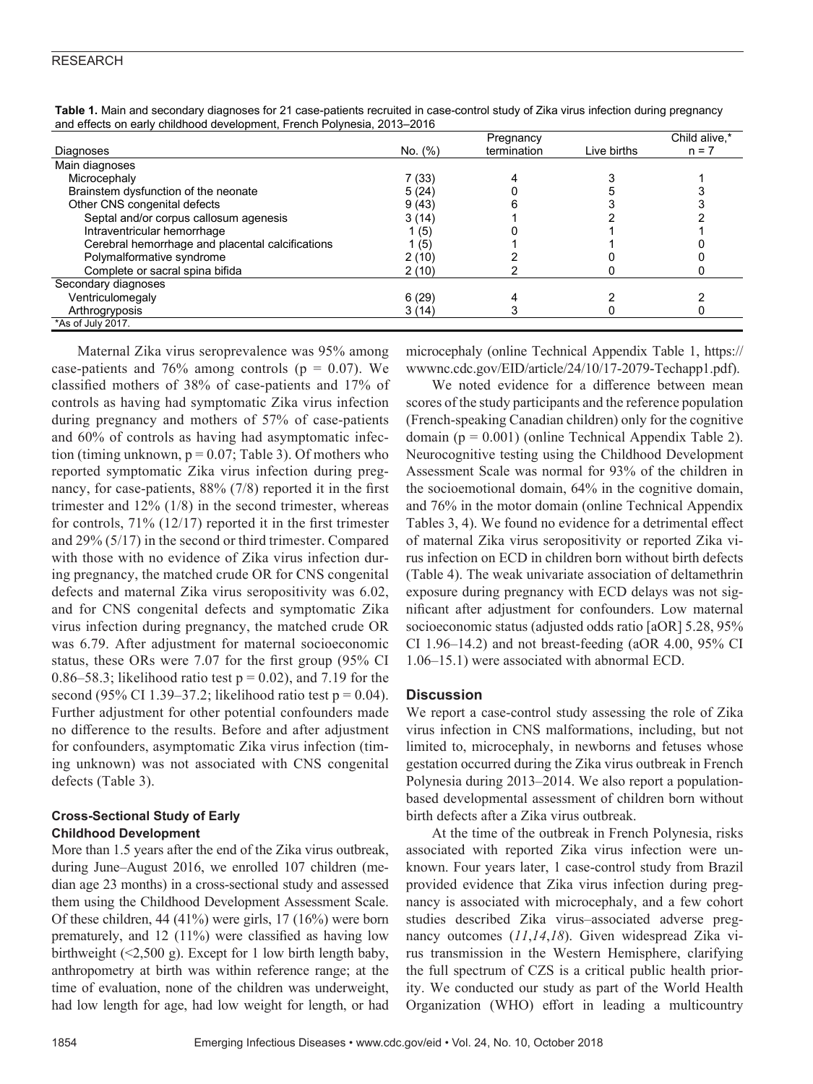|                                                  |         | Pregnancy   |             | Child alive,* |
|--------------------------------------------------|---------|-------------|-------------|---------------|
| Diagnoses                                        | No. (%) | termination | Live births | $n = 7$       |
| Main diagnoses                                   |         |             |             |               |
| Microcephaly                                     | 7(33)   |             |             |               |
| Brainstem dysfunction of the neonate             | 5(24)   |             |             |               |
| Other CNS congenital defects                     | 9(43)   |             |             |               |
| Septal and/or corpus callosum agenesis           | 3(14)   |             |             |               |
| Intraventricular hemorrhage                      | 1 (5)   |             |             |               |
| Cerebral hemorrhage and placental calcifications | 1 (5)   |             |             |               |
| Polymalformative syndrome                        | 2(10)   |             |             |               |
| Complete or sacral spina bifida                  | 2(10)   |             |             |               |
| Secondary diagnoses                              |         |             |             |               |
| Ventriculomegaly                                 | 6(29)   |             |             |               |
| Arthrogryposis                                   | 3(14)   |             |             |               |
| *As of July 2017.                                |         |             |             |               |

**Table 1.** Main and secondary diagnoses for 21 case-patients recruited in case-control study of Zika virus infection during pregnancy and effects on early childhood development, French Polynesia, 2013–2016

Maternal Zika virus seroprevalence was 95% among case-patients and 76% among controls ( $p = 0.07$ ). We classified mothers of 38% of case-patients and 17% of controls as having had symptomatic Zika virus infection during pregnancy and mothers of 57% of case-patients and 60% of controls as having had asymptomatic infection (timing unknown,  $p = 0.07$ ; Table 3). Of mothers who reported symptomatic Zika virus infection during pregnancy, for case-patients, 88% (7/8) reported it in the first trimester and  $12\%$  (1/8) in the second trimester, whereas for controls, 71% (12/17) reported it in the first trimester and 29% (5/17) in the second or third trimester. Compared with those with no evidence of Zika virus infection during pregnancy, the matched crude OR for CNS congenital defects and maternal Zika virus seropositivity was 6.02, and for CNS congenital defects and symptomatic Zika virus infection during pregnancy, the matched crude OR was 6.79. After adjustment for maternal socioeconomic status, these ORs were 7.07 for the first group (95% CI 0.86–58.3; likelihood ratio test  $p = 0.02$ ), and 7.19 for the second (95% CI 1.39–37.2; likelihood ratio test  $p = 0.04$ ). Further adjustment for other potential confounders made no difference to the results. Before and after adjustment for confounders, asymptomatic Zika virus infection (timing unknown) was not associated with CNS congenital defects (Table 3).

# **Cross-Sectional Study of Early Childhood Development**

More than 1.5 years after the end of the Zika virus outbreak, during June–August 2016, we enrolled 107 children (median age 23 months) in a cross-sectional study and assessed them using the Childhood Development Assessment Scale. Of these children, 44 (41%) were girls, 17 (16%) were born prematurely, and 12 (11%) were classified as having low birthweight (<2,500 g). Except for 1 low birth length baby, anthropometry at birth was within reference range; at the time of evaluation, none of the children was underweight, had low length for age, had low weight for length, or had

microcephaly (online Technical Appendix Table 1, https:// wwwnc.cdc.gov/EID/article/24/10/17-2079-Techapp1.pdf).

We noted evidence for a difference between mean scores of the study participants and the reference population (French-speaking Canadian children) only for the cognitive domain ( $p = 0.001$ ) (online Technical Appendix Table 2). Neurocognitive testing using the Childhood Development Assessment Scale was normal for 93% of the children in the socioemotional domain, 64% in the cognitive domain, and 76% in the motor domain (online Technical Appendix Tables 3, 4). We found no evidence for a detrimental effect of maternal Zika virus seropositivity or reported Zika virus infection on ECD in children born without birth defects (Table 4). The weak univariate association of deltamethrin exposure during pregnancy with ECD delays was not significant after adjustment for confounders. Low maternal socioeconomic status (adjusted odds ratio [aOR] 5.28, 95% CI 1.96–14.2) and not breast-feeding (aOR 4.00, 95% CI 1.06–15.1) were associated with abnormal ECD.

# **Discussion**

We report a case-control study assessing the role of Zika virus infection in CNS malformations, including, but not limited to, microcephaly, in newborns and fetuses whose gestation occurred during the Zika virus outbreak in French Polynesia during 2013–2014. We also report a populationbased developmental assessment of children born without birth defects after a Zika virus outbreak.

At the time of the outbreak in French Polynesia, risks associated with reported Zika virus infection were unknown. Four years later, 1 case-control study from Brazil provided evidence that Zika virus infection during pregnancy is associated with microcephaly, and a few cohort studies described Zika virus–associated adverse pregnancy outcomes (*11*,*14*,*18*). Given widespread Zika virus transmission in the Western Hemisphere, clarifying the full spectrum of CZS is a critical public health priority. We conducted our study as part of the World Health Organization (WHO) effort in leading a multicountry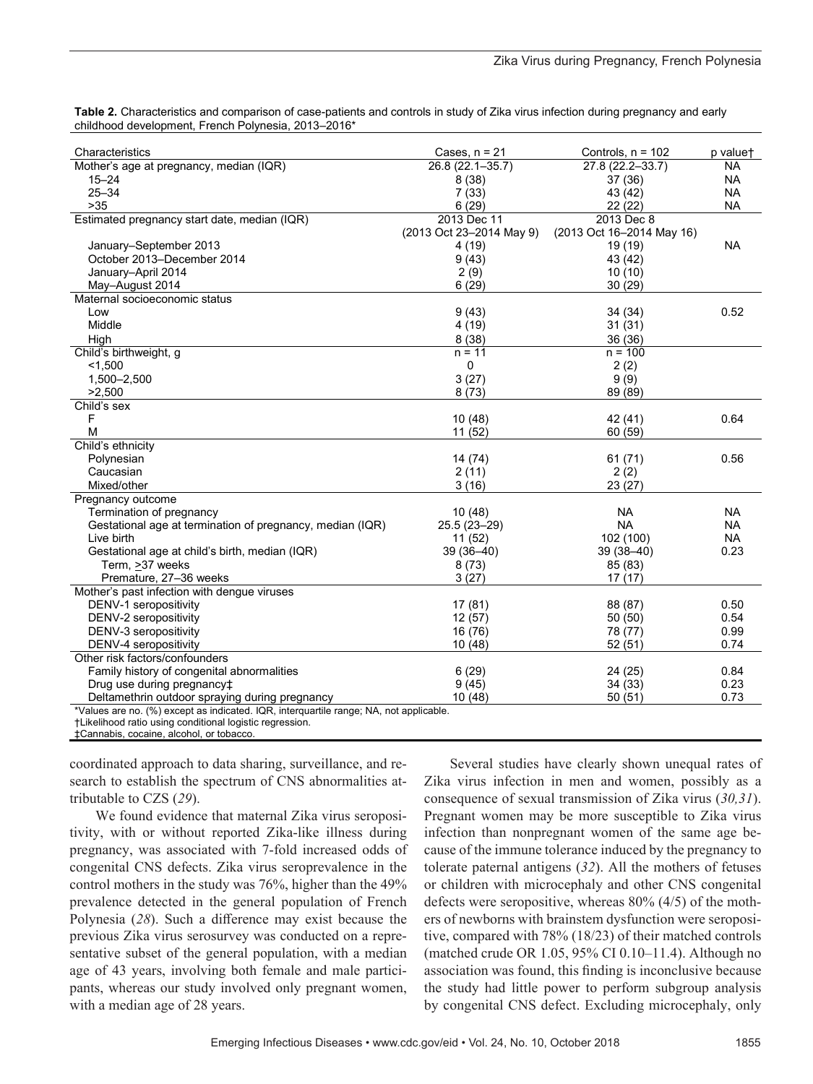|                                                     | Table 2. Characteristics and comparison of case-patients and controls in study of Zika virus infection during pregnancy and early |  |
|-----------------------------------------------------|-----------------------------------------------------------------------------------------------------------------------------------|--|
| childhood development. French Polynesia. 2013–2016* |                                                                                                                                   |  |

| Characteristics                                                                        | Cases, $n = 21$          | Controls, $n = 102$       | p valuet  |
|----------------------------------------------------------------------------------------|--------------------------|---------------------------|-----------|
| Mother's age at pregnancy, median (IQR)                                                | 26.8 (22.1-35.7)         | 27.8 (22.2-33.7)          | <b>NA</b> |
| $15 - 24$                                                                              | 8(38)                    | 37(36)                    | <b>NA</b> |
| $25 - 34$                                                                              | 7(33)                    | 43 (42)                   | <b>NA</b> |
| $>35$                                                                                  | 6(29)                    | 22(22)                    | <b>NA</b> |
| Estimated pregnancy start date, median (IQR)                                           | 2013 Dec 11              | 2013 Dec 8                |           |
|                                                                                        | (2013 Oct 23-2014 May 9) | (2013 Oct 16-2014 May 16) |           |
| January-September 2013                                                                 | 4 (19)                   | 19 (19)                   | <b>NA</b> |
| October 2013-December 2014                                                             | 9(43)                    | 43 (42)                   |           |
| January-April 2014                                                                     | 2(9)                     | 10(10)                    |           |
| May-August 2014                                                                        | 6(29)                    | 30 (29)                   |           |
| Maternal socioeconomic status                                                          |                          |                           |           |
| Low                                                                                    | 9(43)                    | 34 (34)                   | 0.52      |
| Middle                                                                                 | 4(19)                    | 31(31)                    |           |
| High                                                                                   | 8(38)                    | 36 (36)                   |           |
| Child's birthweight, g                                                                 | $n = 11$                 | $n = 100$                 |           |
| < 1.500                                                                                | 0                        | 2(2)                      |           |
| 1,500-2,500                                                                            | 3(27)                    | 9(9)                      |           |
| >2,500                                                                                 | 8(73)                    | 89 (89)                   |           |
| Child's sex                                                                            |                          |                           |           |
| F                                                                                      | 10(48)                   | 42 (41)                   | 0.64      |
| M                                                                                      | 11(52)                   | 60 (59)                   |           |
| Child's ethnicity                                                                      |                          |                           |           |
| Polynesian                                                                             | 14 (74)                  | 61(71)                    | 0.56      |
| Caucasian                                                                              | 2(11)                    | 2(2)                      |           |
| Mixed/other                                                                            | 3(16)                    | 23 (27)                   |           |
| Pregnancy outcome                                                                      |                          |                           |           |
| Termination of pregnancy                                                               | 10(48)                   | <b>NA</b>                 | <b>NA</b> |
| Gestational age at termination of pregnancy, median (IQR)                              | 25.5 (23-29)             | <b>NA</b>                 | <b>NA</b> |
| Live birth                                                                             | 11(52)                   | 102 (100)                 | <b>NA</b> |
| Gestational age at child's birth, median (IQR)                                         | $39(36 - 40)$            | $39(38 - 40)$             | 0.23      |
| Term, >37 weeks                                                                        | 8(73)                    | 85 (83)                   |           |
| Premature, 27-36 weeks                                                                 | 3(27)                    | 17(17)                    |           |
| Mother's past infection with dengue viruses                                            |                          |                           |           |
| DENV-1 seropositivity                                                                  | 17(81)                   | 88 (87)                   | 0.50      |
| DENV-2 seropositivity                                                                  | 12(57)                   | 50(50)                    | 0.54      |
| DENV-3 seropositivity                                                                  | 16 (76)                  | 78 (77)                   | 0.99      |
| DENV-4 seropositivity                                                                  | 10(48)                   | 52(51)                    | 0.74      |
| Other risk factors/confounders                                                         |                          |                           |           |
| Family history of congenital abnormalities                                             | 6(29)                    | 24 (25)                   | 0.84      |
| Drug use during pregnancy <sup>+</sup>                                                 | 9(45)                    | 34(33)                    | 0.23      |
| Deltamethrin outdoor spraying during pregnancy                                         | 10(48)                   | 50(51)                    | 0.73      |
| *Values are no. (%) except as indicated. IQR, interquartile range; NA, not applicable. |                          |                           |           |

†Likelihood ratio using conditional logistic regression.

‡Cannabis, cocaine, alcohol, or tobacco.

coordinated approach to data sharing, surveillance, and research to establish the spectrum of CNS abnormalities attributable to CZS (*29*).

We found evidence that maternal Zika virus seropositivity, with or without reported Zika-like illness during pregnancy, was associated with 7-fold increased odds of congenital CNS defects. Zika virus seroprevalence in the control mothers in the study was 76%, higher than the 49% prevalence detected in the general population of French Polynesia (*28*). Such a difference may exist because the previous Zika virus serosurvey was conducted on a representative subset of the general population, with a median age of 43 years, involving both female and male participants, whereas our study involved only pregnant women, with a median age of 28 years.

Several studies have clearly shown unequal rates of Zika virus infection in men and women, possibly as a consequence of sexual transmission of Zika virus (*30,31*). Pregnant women may be more susceptible to Zika virus infection than nonpregnant women of the same age because of the immune tolerance induced by the pregnancy to tolerate paternal antigens (*32*). All the mothers of fetuses or children with microcephaly and other CNS congenital defects were seropositive, whereas 80% (4/5) of the mothers of newborns with brainstem dysfunction were seropositive, compared with 78% (18/23) of their matched controls (matched crude OR 1.05, 95% CI 0.10–11.4). Although no association was found, this finding is inconclusive because the study had little power to perform subgroup analysis by congenital CNS defect. Excluding microcephaly, only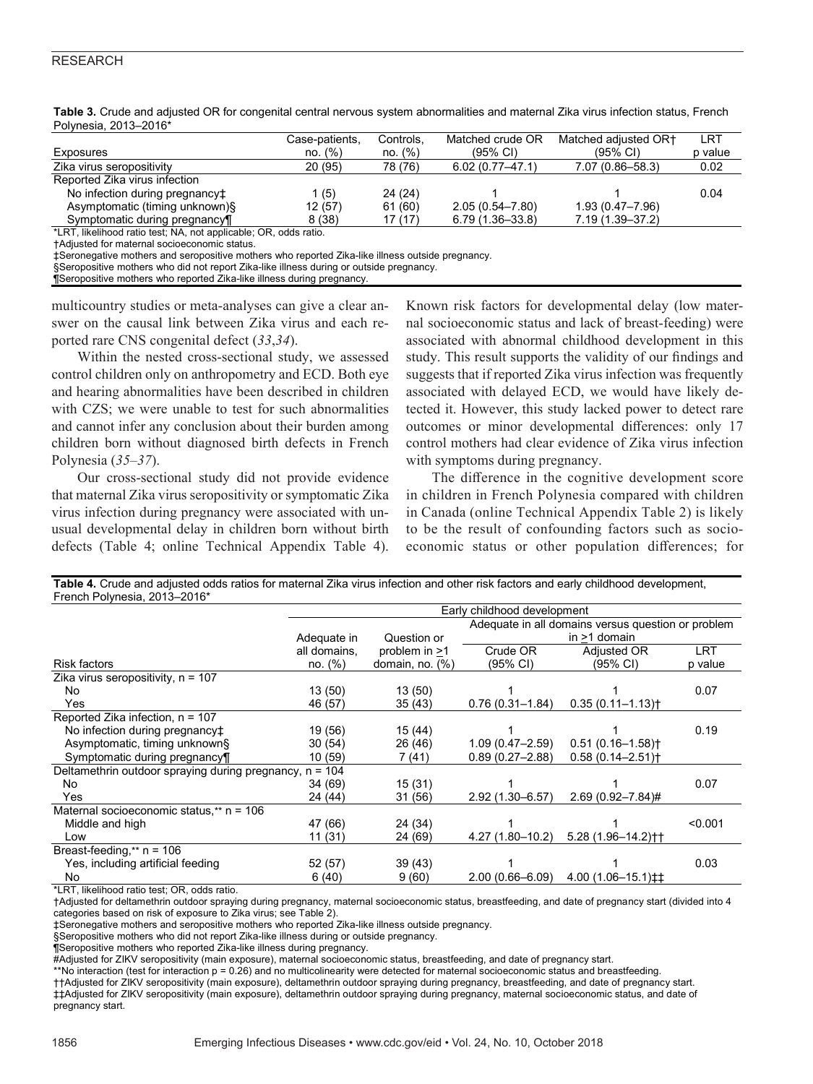| T VIIIGSIA, ZUTUTZUTU                                        |                |           |                     |                      |         |
|--------------------------------------------------------------|----------------|-----------|---------------------|----------------------|---------|
|                                                              | Case-patients, | Controls, | Matched crude OR    | Matched adiusted OR+ | LRT     |
| Exposures                                                    | no. (%)        | no. (%)   | (95% CI)            | (95% CI)             | p value |
| Zika virus seropositivity                                    | 20 (95)        | 78 (76)   | $6.02(0.77 - 47.1)$ | 7.07 (0.86-58.3)     | 0.02    |
| Reported Zika virus infection                                |                |           |                     |                      |         |
| No infection during pregnancy <sup>+</sup>                   | (5)            | 24 (24)   |                     |                      | 0.04    |
| Asymptomatic (timing unknown)§                               | 12 (57)        | 61 (60)   | $2.05(0.54 - 7.80)$ | $1.93(0.47 - 7.96)$  |         |
| Symptomatic during pregnancy¶                                | 8(38)          | 17 (17)   | $6.79(1.36 - 33.8)$ | $7.19(1.39 - 37.2)$  |         |
| *LPT likelihood ratio tost: NA not applicable: OP odds ratio |                |           |                     |                      |         |

**Table 3.** Crude and adjusted OR for congenital central nervous system abnormalities and maternal Zika virus infection status, French Polynesia, 2013–2016\*

\*LRT, likelihood ratio test; NA, not applicable; OR, odds ratio.

†Adjusted for maternal socioeconomic status.

‡Seronegative mothers and seropositive mothers who reported Zika-like illness outside pregnancy.

§Seropositive mothers who did not report Zika-like illness during or outside pregnancy.

¶Seropositive mothers who reported Zika-like illness during pregnancy.

multicountry studies or meta-analyses can give a clear answer on the causal link between Zika virus and each reported rare CNS congenital defect (*33*,*34*).

Within the nested cross-sectional study, we assessed control children only on anthropometry and ECD. Both eye and hearing abnormalities have been described in children with CZS; we were unable to test for such abnormalities and cannot infer any conclusion about their burden among children born without diagnosed birth defects in French Polynesia (*35*–*37*).

Our cross-sectional study did not provide evidence that maternal Zika virus seropositivity or symptomatic Zika virus infection during pregnancy were associated with unusual developmental delay in children born without birth defects (Table 4; online Technical Appendix Table 4).

Known risk factors for developmental delay (low maternal socioeconomic status and lack of breast-feeding) were associated with abnormal childhood development in this study. This result supports the validity of our findings and suggests that if reported Zika virus infection was frequently associated with delayed ECD, we would have likely detected it. However, this study lacked power to detect rare outcomes or minor developmental differences: only 17 control mothers had clear evidence of Zika virus infection with symptoms during pregnancy.

The difference in the cognitive development score in children in French Polynesia compared with children in Canada (online Technical Appendix Table 2) is likely to be the result of confounding factors such as socioeconomic status or other population differences; for

| Table 4. Crude and adjusted odds ratios for maternal Zika virus infection and other risk factors and early childhood development, |  |
|-----------------------------------------------------------------------------------------------------------------------------------|--|
| French Polynesia, 2013-2016*                                                                                                      |  |

|                                                           | Early childhood development |                    |                                                    |                                   |         |
|-----------------------------------------------------------|-----------------------------|--------------------|----------------------------------------------------|-----------------------------------|---------|
|                                                           |                             |                    | Adequate in all domains versus question or problem |                                   |         |
|                                                           | Adequate in                 | Question or        |                                                    | in $>1$ domain                    |         |
|                                                           | all domains,                | problem in >1      | Crude OR                                           | Adjusted OR                       | LRT     |
| <b>Risk factors</b>                                       | no. (%)                     | domain, no. $(\%)$ | (95% CI)                                           | (95% CI)                          | p value |
| Zika virus seropositivity, $n = 107$                      |                             |                    |                                                    |                                   |         |
| No.                                                       | 13(50)                      | 13(50)             |                                                    |                                   | 0.07    |
| Yes                                                       | 46 (57)                     | 35(43)             | $0.76(0.31 - 1.84)$                                | $0.35(0.11 - 1.13)$               |         |
| Reported Zika infection, n = 107                          |                             |                    |                                                    |                                   |         |
| No infection during pregnancy <sup>+</sup>                | 19 (56)                     | 15 (44)            |                                                    |                                   | 0.19    |
| Asymptomatic, timing unknown§                             | 30(54)                      | 26 (46)            | $1.09(0.47 - 2.59)$                                | $0.51(0.16 - 1.58)$               |         |
| Symptomatic during pregnancy                              | 10(59)                      | 7 (41)             | $0.89(0.27 - 2.88)$                                | $0.58(0.14 - 2.51)$               |         |
| Deltamethrin outdoor spraying during pregnancy, $n = 104$ |                             |                    |                                                    |                                   |         |
| No                                                        | 34 (69)                     | 15(31)             |                                                    |                                   | 0.07    |
| Yes                                                       | 24 (44)                     | 31 (56)            | $2.92(1.30 - 6.57)$                                | $2.69(0.92 - 7.84)$ #             |         |
| Maternal socioeconomic status, $**$ n = 106               |                             |                    |                                                    |                                   |         |
| Middle and high                                           | 47 (66)                     | 24 (34)            |                                                    |                                   | < 0.001 |
| Low                                                       | 11(31)                      | 24 (69)            | $4.27(1.80 - 10.2)$                                | $5.28(1.96 - 14.2)$ <sup>++</sup> |         |
| Breast-feeding,** $n = 106$                               |                             |                    |                                                    |                                   |         |
| Yes, including artificial feeding                         | 52 (57)                     | 39(43)             |                                                    |                                   | 0.03    |
| No.                                                       | 6(40)                       | 9(60)              | $2.00(0.66 - 6.09)$                                | $4.00(1.06-15.1)$ <sup>±†</sup>   |         |

\*LRT, likelihood ratio test; OR, odds ratio.

†Adjusted for deltamethrin outdoor spraying during pregnancy, maternal socioeconomic status, breastfeeding, and date of pregnancy start (divided into 4 categories based on risk of exposure to Zika virus; see Table 2).

‡Seronegative mothers and seropositive mothers who reported Zika-like illness outside pregnancy.

§Seropositive mothers who did not report Zika-like illness during or outside pregnancy.

¶Seropositive mothers who reported Zika-like illness during pregnancy.

#Adjusted for ZIKV seropositivity (main exposure), maternal socioeconomic status, breastfeeding, and date of pregnancy start.

\*\*No interaction (test for interaction p = 0.26) and no multicolinearity were detected for maternal socioeconomic status and breastfeeding.

††Adjusted for ZIKV seropositivity (main exposure), deltamethrin outdoor spraying during pregnancy, breastfeeding, and date of pregnancy start. ‡‡Adjusted for ZIKV seropositivity (main exposure), deltamethrin outdoor spraying during pregnancy, maternal socioeconomic status, and date of pregnancy start.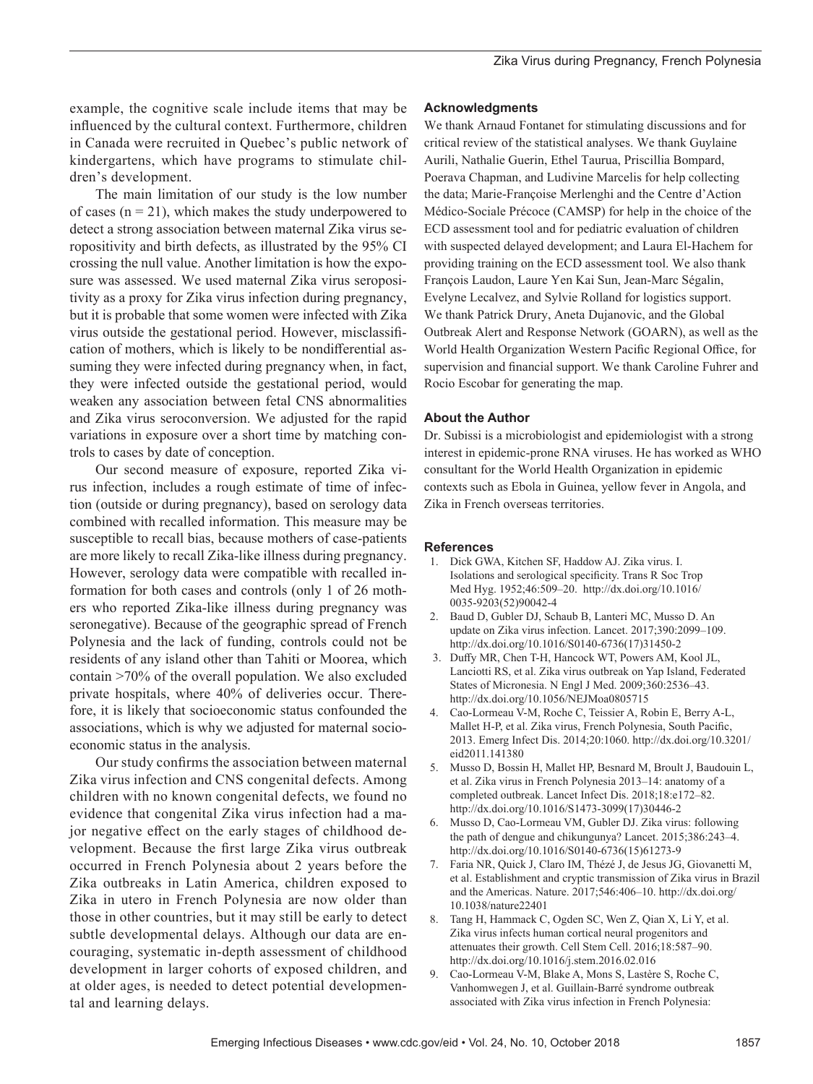example, the cognitive scale include items that may be influenced by the cultural context. Furthermore, children in Canada were recruited in Quebec's public network of kindergartens, which have programs to stimulate children's development.

The main limitation of our study is the low number of cases ( $n = 21$ ), which makes the study underpowered to detect a strong association between maternal Zika virus seropositivity and birth defects, as illustrated by the 95% CI crossing the null value. Another limitation is how the exposure was assessed. We used maternal Zika virus seropositivity as a proxy for Zika virus infection during pregnancy, but it is probable that some women were infected with Zika virus outside the gestational period. However, misclassification of mothers, which is likely to be nondifferential assuming they were infected during pregnancy when, in fact, they were infected outside the gestational period, would weaken any association between fetal CNS abnormalities and Zika virus seroconversion. We adjusted for the rapid variations in exposure over a short time by matching controls to cases by date of conception.

Our second measure of exposure, reported Zika virus infection, includes a rough estimate of time of infection (outside or during pregnancy), based on serology data combined with recalled information. This measure may be susceptible to recall bias, because mothers of case-patients are more likely to recall Zika-like illness during pregnancy. However, serology data were compatible with recalled information for both cases and controls (only 1 of 26 mothers who reported Zika-like illness during pregnancy was seronegative). Because of the geographic spread of French Polynesia and the lack of funding, controls could not be residents of any island other than Tahiti or Moorea, which contain >70% of the overall population. We also excluded private hospitals, where 40% of deliveries occur. Therefore, it is likely that socioeconomic status confounded the associations, which is why we adjusted for maternal socioeconomic status in the analysis.

Our study confirms the association between maternal Zika virus infection and CNS congenital defects. Among children with no known congenital defects, we found no evidence that congenital Zika virus infection had a major negative effect on the early stages of childhood development. Because the first large Zika virus outbreak occurred in French Polynesia about 2 years before the Zika outbreaks in Latin America, children exposed to Zika in utero in French Polynesia are now older than those in other countries, but it may still be early to detect subtle developmental delays. Although our data are encouraging, systematic in-depth assessment of childhood development in larger cohorts of exposed children, and at older ages, is needed to detect potential developmental and learning delays.

#### **Acknowledgments**

We thank Arnaud Fontanet for stimulating discussions and for critical review of the statistical analyses. We thank Guylaine Aurili, Nathalie Guerin, Ethel Taurua, Priscillia Bompard, Poerava Chapman, and Ludivine Marcelis for help collecting the data; Marie-Françoise Merlenghi and the Centre d'Action Médico-Sociale Précoce (CAMSP) for help in the choice of the ECD assessment tool and for pediatric evaluation of children with suspected delayed development; and Laura El-Hachem for providing training on the ECD assessment tool. We also thank François Laudon, Laure Yen Kai Sun, Jean-Marc Ségalin, Evelyne Lecalvez, and Sylvie Rolland for logistics support. We thank Patrick Drury, Aneta Dujanovic, and the Global Outbreak Alert and Response Network (GOARN), as well as the World Health Organization Western Pacific Regional Office, for supervision and financial support. We thank Caroline Fuhrer and Rocio Escobar for generating the map.

## **About the Author**

Dr. Subissi is a microbiologist and epidemiologist with a strong interest in epidemic-prone RNA viruses. He has worked as WHO consultant for the World Health Organization in epidemic contexts such as Ebola in Guinea, yellow fever in Angola, and Zika in French overseas territories.

## **References**

- 1. Dick GWA, Kitchen SF, Haddow AJ. Zika virus. I. Isolations and serological specificity. Trans R Soc Trop Med Hyg. 1952;46:509–20. http://dx.doi.org/10.1016/ 0035-9203(52)90042-4
- 2. Baud D, Gubler DJ, Schaub B, Lanteri MC, Musso D. An update on Zika virus infection. Lancet. 2017;390:2099–109. http://dx.doi.org/10.1016/S0140-6736(17)31450-2
- 3. Duffy MR, Chen T-H, Hancock WT, Powers AM, Kool JL, Lanciotti RS, et al. Zika virus outbreak on Yap Island, Federated States of Micronesia. N Engl J Med. 2009;360:2536–43. http://dx.doi.org/10.1056/NEJMoa0805715
- 4. Cao-Lormeau V-M, Roche C, Teissier A, Robin E, Berry A-L, Mallet H-P, et al. Zika virus, French Polynesia, South Pacific, 2013. Emerg Infect Dis. 2014;20:1060. http://dx.doi.org/10.3201/ eid2011.141380
- 5. Musso D, Bossin H, Mallet HP, Besnard M, Broult J, Baudouin L, et al. Zika virus in French Polynesia 2013–14: anatomy of a completed outbreak. Lancet Infect Dis. 2018;18:e172–82. http://dx.doi.org/10.1016/S1473-3099(17)30446-2
- 6. Musso D, Cao-Lormeau VM, Gubler DJ. Zika virus: following the path of dengue and chikungunya? Lancet. 2015;386:243–4. http://dx.doi.org/10.1016/S0140-6736(15)61273-9
- 7. Faria NR, Quick J, Claro IM, Thézé J, de Jesus JG, Giovanetti M, et al. Establishment and cryptic transmission of Zika virus in Brazil and the Americas. Nature. 2017;546:406–10. http://dx.doi.org/ 10.1038/nature22401
- 8. Tang H, Hammack C, Ogden SC, Wen Z, Qian X, Li Y, et al. Zika virus infects human cortical neural progenitors and attenuates their growth. Cell Stem Cell. 2016;18:587–90. http://dx.doi.org/10.1016/j.stem.2016.02.016
- 9. Cao-Lormeau V-M, Blake A, Mons S, Lastère S, Roche C, Vanhomwegen J, et al. Guillain-Barré syndrome outbreak associated with Zika virus infection in French Polynesia: